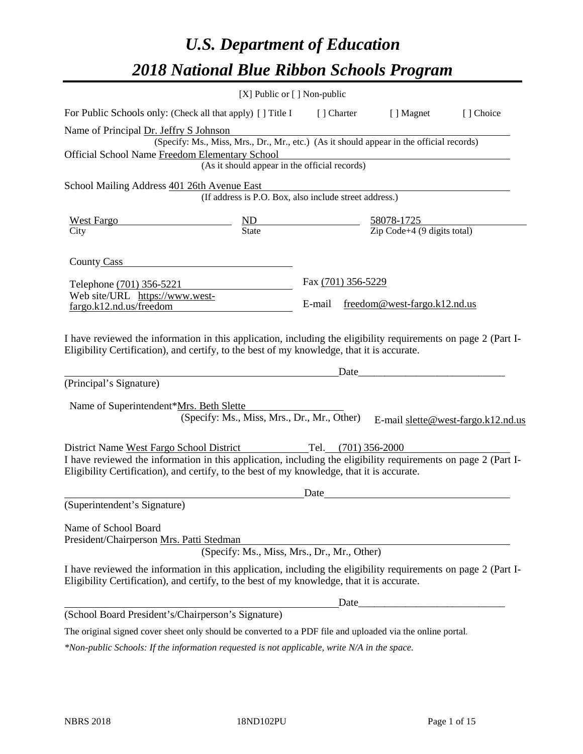# *U.S. Department of Education 2018 National Blue Ribbon Schools Program*

|                                                                                                                                                                                                              | [X] Public or [] Non-public                                                              |                                                         |      |                                     |                                    |
|--------------------------------------------------------------------------------------------------------------------------------------------------------------------------------------------------------------|------------------------------------------------------------------------------------------|---------------------------------------------------------|------|-------------------------------------|------------------------------------|
| For Public Schools only: (Check all that apply) [] Title I [] Charter                                                                                                                                        |                                                                                          |                                                         |      | [ ] Magnet                          | [] Choice                          |
| Name of Principal Dr. Jeffry S Johnson                                                                                                                                                                       | (Specify: Ms., Miss, Mrs., Dr., Mr., etc.) (As it should appear in the official records) |                                                         |      |                                     |                                    |
| Official School Name Freedom Elementary School                                                                                                                                                               | (As it should appear in the official records)                                            |                                                         |      |                                     |                                    |
|                                                                                                                                                                                                              |                                                                                          |                                                         |      |                                     |                                    |
| School Mailing Address 401 26th Avenue East                                                                                                                                                                  | (If address is P.O. Box, also include street address.)                                   |                                                         |      |                                     |                                    |
| <b>West Fargo</b>                                                                                                                                                                                            | $\frac{\text{ND}}{\text{State}}$                                                         | $\frac{58078-1725}{\text{Zip Code}+4 (9 digits total)}$ |      |                                     |                                    |
| $\overline{City}$                                                                                                                                                                                            |                                                                                          |                                                         |      |                                     |                                    |
| County Cass                                                                                                                                                                                                  |                                                                                          |                                                         |      |                                     |                                    |
| Telephone (701) 356-5221                                                                                                                                                                                     |                                                                                          | Fax (701) 356-5229                                      |      |                                     |                                    |
| Web site/URL https://www.west-<br>fargo.k12.nd.us/freedom                                                                                                                                                    |                                                                                          |                                                         |      | E-mail freedom@west-fargo.k12.nd.us |                                    |
| Eligibility Certification), and certify, to the best of my knowledge, that it is accurate.<br>(Principal's Signature)                                                                                        |                                                                                          |                                                         | Date |                                     |                                    |
| Name of Superintendent*Mrs. Beth Slette                                                                                                                                                                      |                                                                                          |                                                         |      |                                     |                                    |
|                                                                                                                                                                                                              | (Specify: Ms., Miss, Mrs., Dr., Mr., Other)                                              |                                                         |      |                                     | E-mail slette@west-fargo.k12.nd.us |
| District Name West Fargo School District                                                                                                                                                                     | Tel. (701) 356-2000                                                                      |                                                         |      |                                     |                                    |
| I have reviewed the information in this application, including the eligibility requirements on page 2 (Part I-<br>Eligibility Certification), and certify, to the best of my knowledge, that it is accurate. |                                                                                          |                                                         |      |                                     |                                    |
|                                                                                                                                                                                                              |                                                                                          | Date                                                    |      |                                     |                                    |
| (Superintendent's Signature)                                                                                                                                                                                 |                                                                                          |                                                         |      |                                     |                                    |
| Name of School Board<br>President/Chairperson Mrs. Patti Stedman                                                                                                                                             | (Specify: Ms., Miss, Mrs., Dr., Mr., Other)                                              |                                                         |      |                                     |                                    |
| I have reviewed the information in this application, including the eligibility requirements on page 2 (Part I-<br>Eligibility Certification), and certify, to the best of my knowledge, that it is accurate. |                                                                                          |                                                         |      |                                     |                                    |
|                                                                                                                                                                                                              |                                                                                          |                                                         |      |                                     |                                    |
| (School Board President's/Chairperson's Signature)                                                                                                                                                           |                                                                                          |                                                         |      |                                     |                                    |
| The original signed cover sheet only should be converted to a PDF file and uploaded via the online portal.                                                                                                   |                                                                                          |                                                         |      |                                     |                                    |

*\*Non-public Schools: If the information requested is not applicable, write N/A in the space.*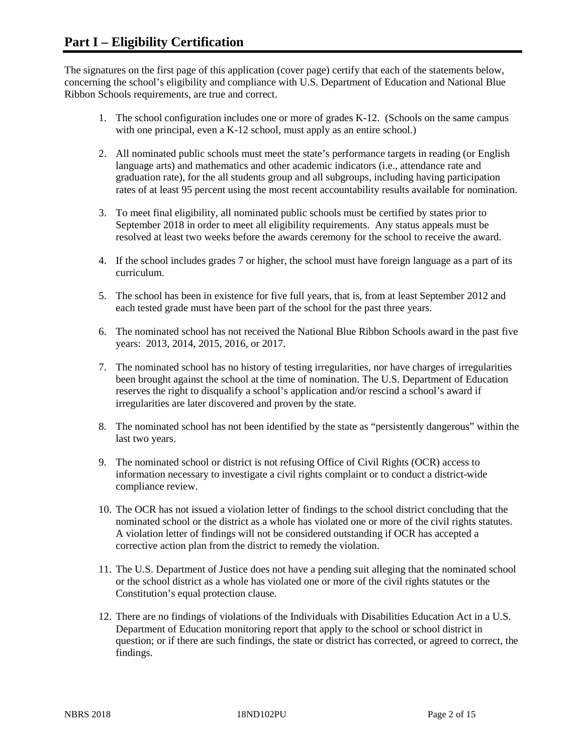The signatures on the first page of this application (cover page) certify that each of the statements below, concerning the school's eligibility and compliance with U.S. Department of Education and National Blue Ribbon Schools requirements, are true and correct.

- 1. The school configuration includes one or more of grades K-12. (Schools on the same campus with one principal, even a K-12 school, must apply as an entire school.)
- 2. All nominated public schools must meet the state's performance targets in reading (or English language arts) and mathematics and other academic indicators (i.e., attendance rate and graduation rate), for the all students group and all subgroups, including having participation rates of at least 95 percent using the most recent accountability results available for nomination.
- 3. To meet final eligibility, all nominated public schools must be certified by states prior to September 2018 in order to meet all eligibility requirements. Any status appeals must be resolved at least two weeks before the awards ceremony for the school to receive the award.
- 4. If the school includes grades 7 or higher, the school must have foreign language as a part of its curriculum.
- 5. The school has been in existence for five full years, that is, from at least September 2012 and each tested grade must have been part of the school for the past three years.
- 6. The nominated school has not received the National Blue Ribbon Schools award in the past five years: 2013, 2014, 2015, 2016, or 2017.
- 7. The nominated school has no history of testing irregularities, nor have charges of irregularities been brought against the school at the time of nomination. The U.S. Department of Education reserves the right to disqualify a school's application and/or rescind a school's award if irregularities are later discovered and proven by the state.
- 8. The nominated school has not been identified by the state as "persistently dangerous" within the last two years.
- 9. The nominated school or district is not refusing Office of Civil Rights (OCR) access to information necessary to investigate a civil rights complaint or to conduct a district-wide compliance review.
- 10. The OCR has not issued a violation letter of findings to the school district concluding that the nominated school or the district as a whole has violated one or more of the civil rights statutes. A violation letter of findings will not be considered outstanding if OCR has accepted a corrective action plan from the district to remedy the violation.
- 11. The U.S. Department of Justice does not have a pending suit alleging that the nominated school or the school district as a whole has violated one or more of the civil rights statutes or the Constitution's equal protection clause.
- 12. There are no findings of violations of the Individuals with Disabilities Education Act in a U.S. Department of Education monitoring report that apply to the school or school district in question; or if there are such findings, the state or district has corrected, or agreed to correct, the findings.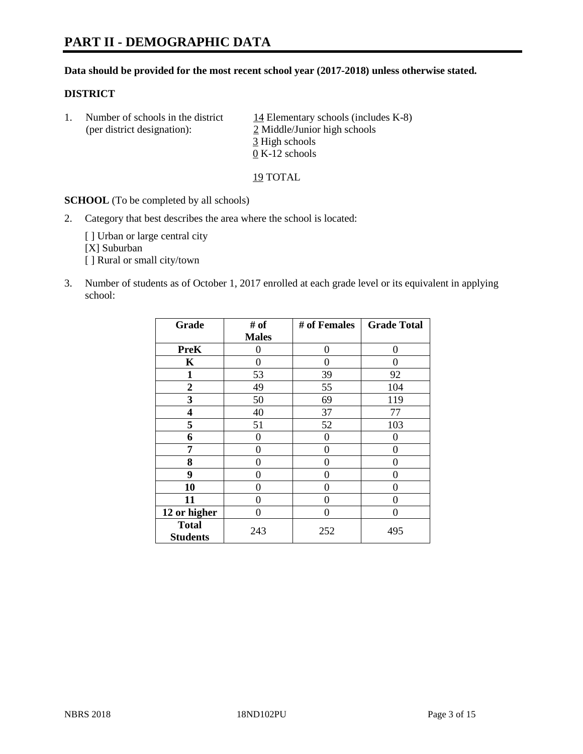# **PART II - DEMOGRAPHIC DATA**

# **Data should be provided for the most recent school year (2017-2018) unless otherwise stated.**

#### **DISTRICT**

1. Number of schools in the district  $14$  Elementary schools (includes K-8) (per district designation): 2 Middle/Junior high schools 3 High schools 0 K-12 schools

19 TOTAL

**SCHOOL** (To be completed by all schools)

2. Category that best describes the area where the school is located:

[] Urban or large central city [X] Suburban [] Rural or small city/town

3. Number of students as of October 1, 2017 enrolled at each grade level or its equivalent in applying school:

| Grade           | # of         | # of Females | <b>Grade Total</b> |
|-----------------|--------------|--------------|--------------------|
|                 | <b>Males</b> |              |                    |
| <b>PreK</b>     | 0            | 0            | 0                  |
| K               | 0            | 0            | 0                  |
| $\mathbf{1}$    | 53           | 39           | 92                 |
| 2               | 49           | 55           | 104                |
| 3               | 50           | 69           | 119                |
| 4               | 40           | 37           | 77                 |
| 5               | 51           | 52           | 103                |
| 6               | 0            | 0            | 0                  |
| 7               | 0            | $\Omega$     | 0                  |
| 8               | 0            | 0            | 0                  |
| 9               | 0            | 0            | 0                  |
| 10              | 0            | 0            | 0                  |
| 11              | 0            | 0            | 0                  |
| 12 or higher    | 0            | $\Omega$     | 0                  |
| <b>Total</b>    | 243          | 252          | 495                |
| <b>Students</b> |              |              |                    |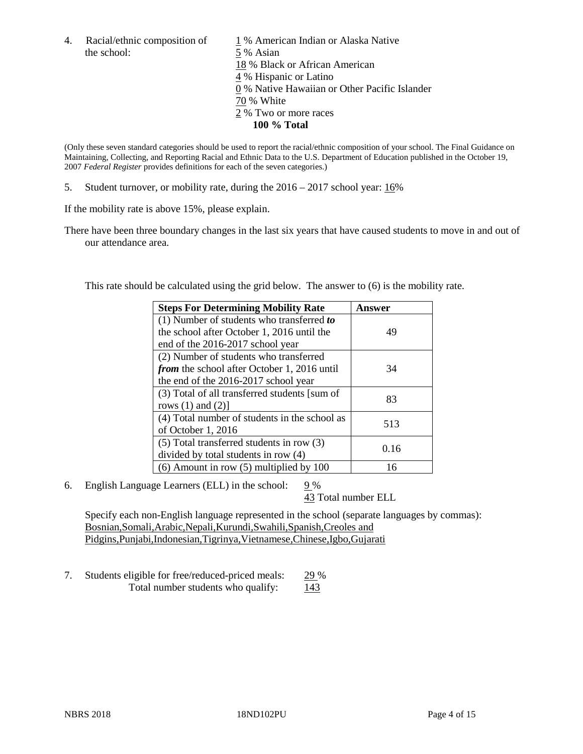the school: 5 % Asian

4. Racial/ethnic composition of  $1\%$  American Indian or Alaska Native 18 % Black or African American 4 % Hispanic or Latino 0 % Native Hawaiian or Other Pacific Islander 70 % White 2 % Two or more races **100 % Total**

(Only these seven standard categories should be used to report the racial/ethnic composition of your school. The Final Guidance on Maintaining, Collecting, and Reporting Racial and Ethnic Data to the U.S. Department of Education published in the October 19, 2007 *Federal Register* provides definitions for each of the seven categories.)

5. Student turnover, or mobility rate, during the 2016 – 2017 school year: 16%

If the mobility rate is above 15%, please explain.

There have been three boundary changes in the last six years that have caused students to move in and out of our attendance area.

This rate should be calculated using the grid below. The answer to (6) is the mobility rate.

| <b>Steps For Determining Mobility Rate</b>         | Answer |  |
|----------------------------------------------------|--------|--|
| $(1)$ Number of students who transferred to        |        |  |
| the school after October 1, 2016 until the         | 49     |  |
| end of the 2016-2017 school year                   |        |  |
| (2) Number of students who transferred             |        |  |
| <i>from</i> the school after October 1, 2016 until | 34     |  |
| the end of the 2016-2017 school year               |        |  |
| (3) Total of all transferred students [sum of      | 83     |  |
| rows $(1)$ and $(2)$ ]                             |        |  |
| (4) Total number of students in the school as      | 513    |  |
| of October $1, 2016$                               |        |  |
| $(5)$ Total transferred students in row $(3)$      |        |  |
| divided by total students in row (4)               | 0.16   |  |
| $(6)$ Amount in row $(5)$ multiplied by 100        | 16     |  |

6. English Language Learners (ELL) in the school: 9 %

43 Total number ELL

Specify each non-English language represented in the school (separate languages by commas): Bosnian,Somali,Arabic,Nepali,Kurundi,Swahili,Spanish,Creoles and Pidgins,Punjabi,Indonesian,Tigrinya,Vietnamese,Chinese,Igbo,Gujarati

7. Students eligible for free/reduced-priced meals: 29 % Total number students who qualify: 143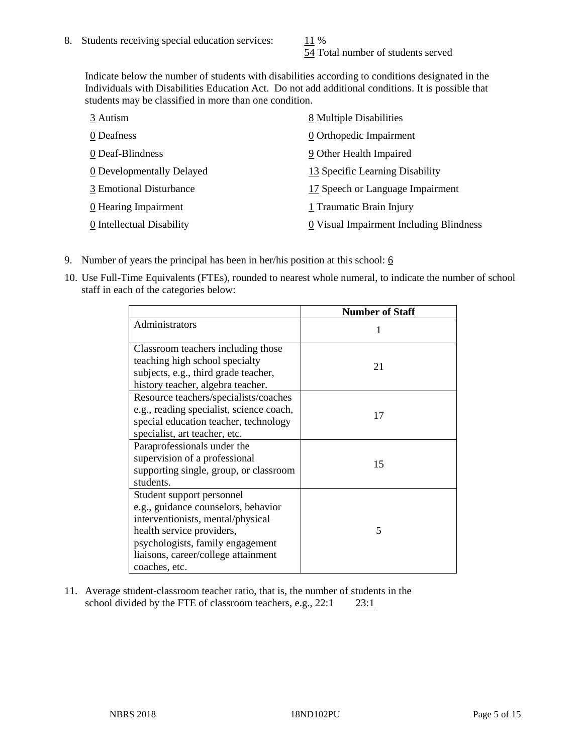54 Total number of students served

Indicate below the number of students with disabilities according to conditions designated in the Individuals with Disabilities Education Act. Do not add additional conditions. It is possible that students may be classified in more than one condition.

| 3 Autism                  | 8 Multiple Disabilities                 |
|---------------------------|-----------------------------------------|
| 0 Deafness                | 0 Orthopedic Impairment                 |
| 0 Deaf-Blindness          | 9 Other Health Impaired                 |
| 0 Developmentally Delayed | 13 Specific Learning Disability         |
| 3 Emotional Disturbance   | 17 Speech or Language Impairment        |
| 0 Hearing Impairment      | 1 Traumatic Brain Injury                |
| 0 Intellectual Disability | 0 Visual Impairment Including Blindness |

- 9. Number of years the principal has been in her/his position at this school:  $6$
- 10. Use Full-Time Equivalents (FTEs), rounded to nearest whole numeral, to indicate the number of school staff in each of the categories below:

|                                                                                                                                                                                                                                | <b>Number of Staff</b> |
|--------------------------------------------------------------------------------------------------------------------------------------------------------------------------------------------------------------------------------|------------------------|
| Administrators                                                                                                                                                                                                                 |                        |
| Classroom teachers including those<br>teaching high school specialty<br>subjects, e.g., third grade teacher,<br>history teacher, algebra teacher.                                                                              | 21                     |
| Resource teachers/specialists/coaches<br>e.g., reading specialist, science coach,<br>special education teacher, technology<br>specialist, art teacher, etc.                                                                    | 17                     |
| Paraprofessionals under the<br>supervision of a professional<br>supporting single, group, or classroom<br>students.                                                                                                            | 15                     |
| Student support personnel<br>e.g., guidance counselors, behavior<br>interventionists, mental/physical<br>health service providers,<br>psychologists, family engagement<br>liaisons, career/college attainment<br>coaches, etc. | 5                      |

11. Average student-classroom teacher ratio, that is, the number of students in the school divided by the FTE of classroom teachers, e.g., 22:1 23:1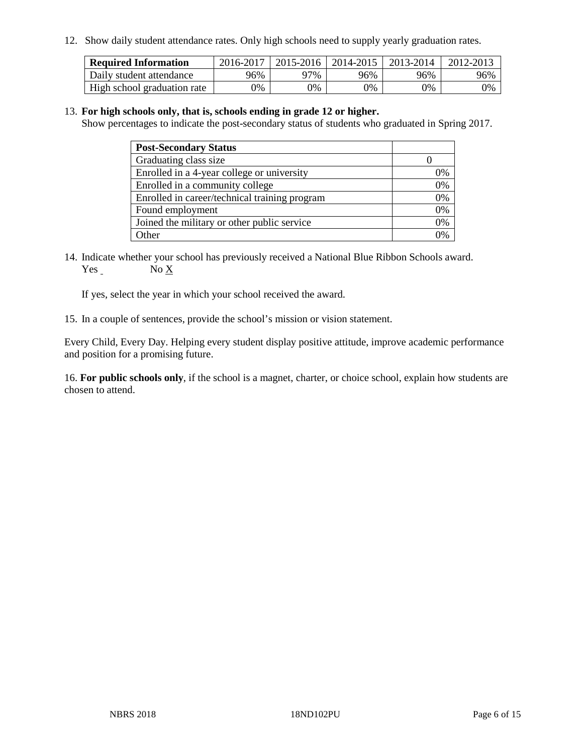12. Show daily student attendance rates. Only high schools need to supply yearly graduation rates.

| <b>Required Information</b> | 2016-2017 | $2015 - 2016$ | 2014-2015 | 2013-2014 | 2012-2013 |
|-----------------------------|-----------|---------------|-----------|-----------|-----------|
| Daily student attendance    | 96%       | 97%           | 96%       | 96%       | 96%       |
| High school graduation rate | 0%        | 0%            | 0%        | 9%        | 0%        |

#### 13. **For high schools only, that is, schools ending in grade 12 or higher.**

Show percentages to indicate the post-secondary status of students who graduated in Spring 2017.

| <b>Post-Secondary Status</b>                  |    |
|-----------------------------------------------|----|
| Graduating class size                         |    |
| Enrolled in a 4-year college or university    | 0% |
| Enrolled in a community college               | 0% |
| Enrolled in career/technical training program | 0% |
| Found employment                              | 0% |
| Joined the military or other public service   | 0% |
| Other                                         | ገ% |

14. Indicate whether your school has previously received a National Blue Ribbon Schools award. Yes No X

If yes, select the year in which your school received the award.

15. In a couple of sentences, provide the school's mission or vision statement.

Every Child, Every Day. Helping every student display positive attitude, improve academic performance and position for a promising future.

16. **For public schools only**, if the school is a magnet, charter, or choice school, explain how students are chosen to attend.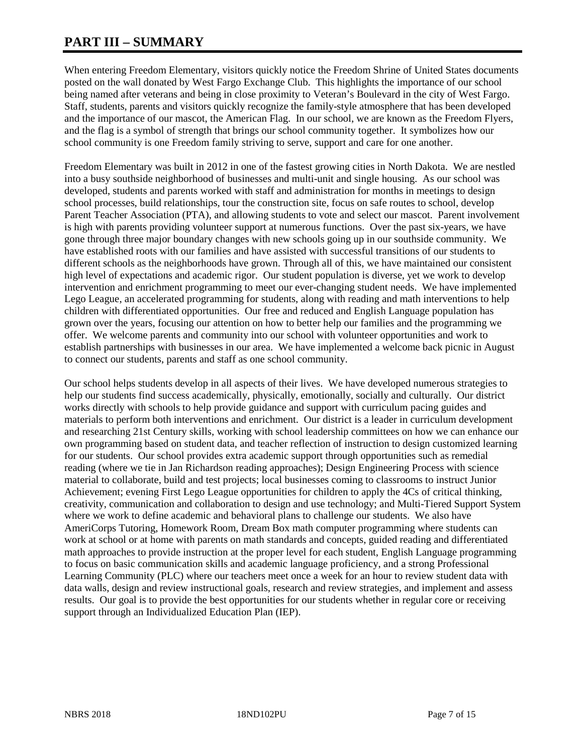# **PART III – SUMMARY**

When entering Freedom Elementary, visitors quickly notice the Freedom Shrine of United States documents posted on the wall donated by West Fargo Exchange Club. This highlights the importance of our school being named after veterans and being in close proximity to Veteran's Boulevard in the city of West Fargo. Staff, students, parents and visitors quickly recognize the family-style atmosphere that has been developed and the importance of our mascot, the American Flag. In our school, we are known as the Freedom Flyers, and the flag is a symbol of strength that brings our school community together. It symbolizes how our school community is one Freedom family striving to serve, support and care for one another.

Freedom Elementary was built in 2012 in one of the fastest growing cities in North Dakota. We are nestled into a busy southside neighborhood of businesses and multi-unit and single housing. As our school was developed, students and parents worked with staff and administration for months in meetings to design school processes, build relationships, tour the construction site, focus on safe routes to school, develop Parent Teacher Association (PTA), and allowing students to vote and select our mascot. Parent involvement is high with parents providing volunteer support at numerous functions. Over the past six-years, we have gone through three major boundary changes with new schools going up in our southside community. We have established roots with our families and have assisted with successful transitions of our students to different schools as the neighborhoods have grown. Through all of this, we have maintained our consistent high level of expectations and academic rigor. Our student population is diverse, yet we work to develop intervention and enrichment programming to meet our ever-changing student needs. We have implemented Lego League, an accelerated programming for students, along with reading and math interventions to help children with differentiated opportunities. Our free and reduced and English Language population has grown over the years, focusing our attention on how to better help our families and the programming we offer. We welcome parents and community into our school with volunteer opportunities and work to establish partnerships with businesses in our area. We have implemented a welcome back picnic in August to connect our students, parents and staff as one school community.

Our school helps students develop in all aspects of their lives. We have developed numerous strategies to help our students find success academically, physically, emotionally, socially and culturally. Our district works directly with schools to help provide guidance and support with curriculum pacing guides and materials to perform both interventions and enrichment. Our district is a leader in curriculum development and researching 21st Century skills, working with school leadership committees on how we can enhance our own programming based on student data, and teacher reflection of instruction to design customized learning for our students. Our school provides extra academic support through opportunities such as remedial reading (where we tie in Jan Richardson reading approaches); Design Engineering Process with science material to collaborate, build and test projects; local businesses coming to classrooms to instruct Junior Achievement; evening First Lego League opportunities for children to apply the 4Cs of critical thinking, creativity, communication and collaboration to design and use technology; and Multi-Tiered Support System where we work to define academic and behavioral plans to challenge our students. We also have AmeriCorps Tutoring, Homework Room, Dream Box math computer programming where students can work at school or at home with parents on math standards and concepts, guided reading and differentiated math approaches to provide instruction at the proper level for each student, English Language programming to focus on basic communication skills and academic language proficiency, and a strong Professional Learning Community (PLC) where our teachers meet once a week for an hour to review student data with data walls, design and review instructional goals, research and review strategies, and implement and assess results. Our goal is to provide the best opportunities for our students whether in regular core or receiving support through an Individualized Education Plan (IEP).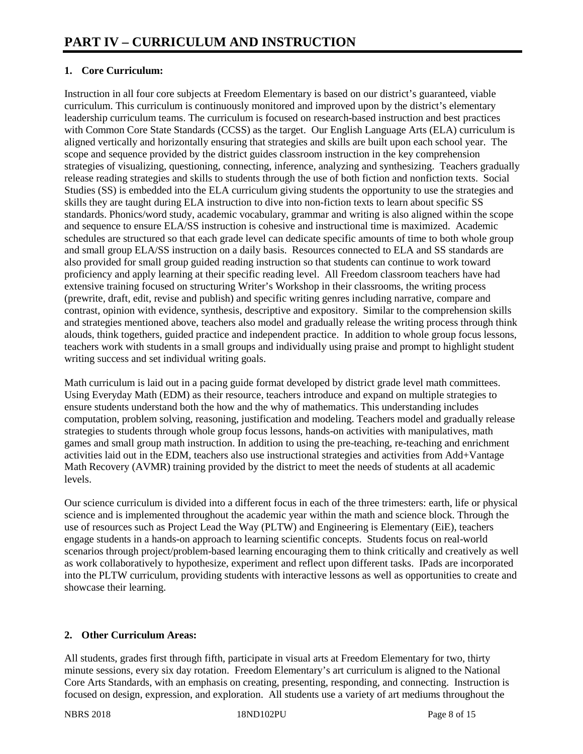# **1. Core Curriculum:**

Instruction in all four core subjects at Freedom Elementary is based on our district's guaranteed, viable curriculum. This curriculum is continuously monitored and improved upon by the district's elementary leadership curriculum teams. The curriculum is focused on research-based instruction and best practices with Common Core State Standards (CCSS) as the target. Our English Language Arts (ELA) curriculum is aligned vertically and horizontally ensuring that strategies and skills are built upon each school year. The scope and sequence provided by the district guides classroom instruction in the key comprehension strategies of visualizing, questioning, connecting, inference, analyzing and synthesizing. Teachers gradually release reading strategies and skills to students through the use of both fiction and nonfiction texts. Social Studies (SS) is embedded into the ELA curriculum giving students the opportunity to use the strategies and skills they are taught during ELA instruction to dive into non-fiction texts to learn about specific SS standards. Phonics/word study, academic vocabulary, grammar and writing is also aligned within the scope and sequence to ensure ELA/SS instruction is cohesive and instructional time is maximized. Academic schedules are structured so that each grade level can dedicate specific amounts of time to both whole group and small group ELA/SS instruction on a daily basis. Resources connected to ELA and SS standards are also provided for small group guided reading instruction so that students can continue to work toward proficiency and apply learning at their specific reading level. All Freedom classroom teachers have had extensive training focused on structuring Writer's Workshop in their classrooms, the writing process (prewrite, draft, edit, revise and publish) and specific writing genres including narrative, compare and contrast, opinion with evidence, synthesis, descriptive and expository. Similar to the comprehension skills and strategies mentioned above, teachers also model and gradually release the writing process through think alouds, think togethers, guided practice and independent practice. In addition to whole group focus lessons, teachers work with students in a small groups and individually using praise and prompt to highlight student writing success and set individual writing goals.

Math curriculum is laid out in a pacing guide format developed by district grade level math committees. Using Everyday Math (EDM) as their resource, teachers introduce and expand on multiple strategies to ensure students understand both the how and the why of mathematics. This understanding includes computation, problem solving, reasoning, justification and modeling. Teachers model and gradually release strategies to students through whole group focus lessons, hands-on activities with manipulatives, math games and small group math instruction. In addition to using the pre-teaching, re-teaching and enrichment activities laid out in the EDM, teachers also use instructional strategies and activities from Add+Vantage Math Recovery (AVMR) training provided by the district to meet the needs of students at all academic levels.

Our science curriculum is divided into a different focus in each of the three trimesters: earth, life or physical science and is implemented throughout the academic year within the math and science block. Through the use of resources such as Project Lead the Way (PLTW) and Engineering is Elementary (EiE), teachers engage students in a hands-on approach to learning scientific concepts. Students focus on real-world scenarios through project/problem-based learning encouraging them to think critically and creatively as well as work collaboratively to hypothesize, experiment and reflect upon different tasks. IPads are incorporated into the PLTW curriculum, providing students with interactive lessons as well as opportunities to create and showcase their learning.

# **2. Other Curriculum Areas:**

All students, grades first through fifth, participate in visual arts at Freedom Elementary for two, thirty minute sessions, every six day rotation. Freedom Elementary's art curriculum is aligned to the National Core Arts Standards, with an emphasis on creating, presenting, responding, and connecting. Instruction is focused on design, expression, and exploration. All students use a variety of art mediums throughout the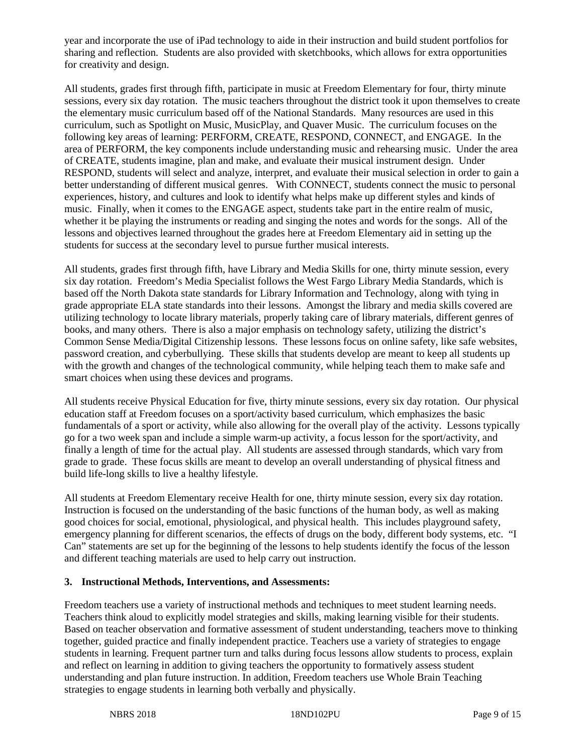year and incorporate the use of iPad technology to aide in their instruction and build student portfolios for sharing and reflection. Students are also provided with sketchbooks, which allows for extra opportunities for creativity and design.

All students, grades first through fifth, participate in music at Freedom Elementary for four, thirty minute sessions, every six day rotation. The music teachers throughout the district took it upon themselves to create the elementary music curriculum based off of the National Standards. Many resources are used in this curriculum, such as Spotlight on Music, MusicPlay, and Quaver Music. The curriculum focuses on the following key areas of learning: PERFORM, CREATE, RESPOND, CONNECT, and ENGAGE. In the area of PERFORM, the key components include understanding music and rehearsing music. Under the area of CREATE, students imagine, plan and make, and evaluate their musical instrument design. Under RESPOND, students will select and analyze, interpret, and evaluate their musical selection in order to gain a better understanding of different musical genres. With CONNECT, students connect the music to personal experiences, history, and cultures and look to identify what helps make up different styles and kinds of music. Finally, when it comes to the ENGAGE aspect, students take part in the entire realm of music, whether it be playing the instruments or reading and singing the notes and words for the songs. All of the lessons and objectives learned throughout the grades here at Freedom Elementary aid in setting up the students for success at the secondary level to pursue further musical interests.

All students, grades first through fifth, have Library and Media Skills for one, thirty minute session, every six day rotation. Freedom's Media Specialist follows the West Fargo Library Media Standards, which is based off the North Dakota state standards for Library Information and Technology, along with tying in grade appropriate ELA state standards into their lessons. Amongst the library and media skills covered are utilizing technology to locate library materials, properly taking care of library materials, different genres of books, and many others. There is also a major emphasis on technology safety, utilizing the district's Common Sense Media/Digital Citizenship lessons. These lessons focus on online safety, like safe websites, password creation, and cyberbullying. These skills that students develop are meant to keep all students up with the growth and changes of the technological community, while helping teach them to make safe and smart choices when using these devices and programs.

All students receive Physical Education for five, thirty minute sessions, every six day rotation. Our physical education staff at Freedom focuses on a sport/activity based curriculum, which emphasizes the basic fundamentals of a sport or activity, while also allowing for the overall play of the activity. Lessons typically go for a two week span and include a simple warm-up activity, a focus lesson for the sport/activity, and finally a length of time for the actual play. All students are assessed through standards, which vary from grade to grade. These focus skills are meant to develop an overall understanding of physical fitness and build life-long skills to live a healthy lifestyle.

All students at Freedom Elementary receive Health for one, thirty minute session, every six day rotation. Instruction is focused on the understanding of the basic functions of the human body, as well as making good choices for social, emotional, physiological, and physical health. This includes playground safety, emergency planning for different scenarios, the effects of drugs on the body, different body systems, etc. "I Can" statements are set up for the beginning of the lessons to help students identify the focus of the lesson and different teaching materials are used to help carry out instruction.

# **3. Instructional Methods, Interventions, and Assessments:**

Freedom teachers use a variety of instructional methods and techniques to meet student learning needs. Teachers think aloud to explicitly model strategies and skills, making learning visible for their students. Based on teacher observation and formative assessment of student understanding, teachers move to thinking together, guided practice and finally independent practice. Teachers use a variety of strategies to engage students in learning. Frequent partner turn and talks during focus lessons allow students to process, explain and reflect on learning in addition to giving teachers the opportunity to formatively assess student understanding and plan future instruction. In addition, Freedom teachers use Whole Brain Teaching strategies to engage students in learning both verbally and physically.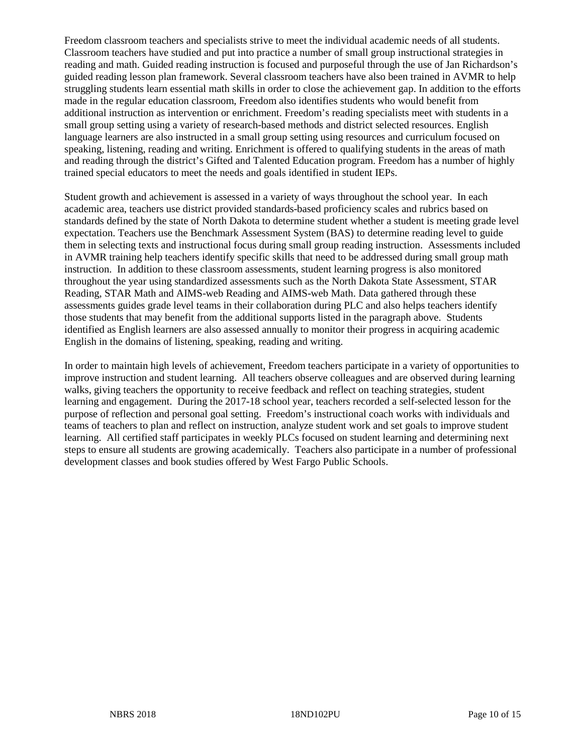Freedom classroom teachers and specialists strive to meet the individual academic needs of all students. Classroom teachers have studied and put into practice a number of small group instructional strategies in reading and math. Guided reading instruction is focused and purposeful through the use of Jan Richardson's guided reading lesson plan framework. Several classroom teachers have also been trained in AVMR to help struggling students learn essential math skills in order to close the achievement gap. In addition to the efforts made in the regular education classroom, Freedom also identifies students who would benefit from additional instruction as intervention or enrichment. Freedom's reading specialists meet with students in a small group setting using a variety of research-based methods and district selected resources. English language learners are also instructed in a small group setting using resources and curriculum focused on speaking, listening, reading and writing. Enrichment is offered to qualifying students in the areas of math and reading through the district's Gifted and Talented Education program. Freedom has a number of highly trained special educators to meet the needs and goals identified in student IEPs.

Student growth and achievement is assessed in a variety of ways throughout the school year. In each academic area, teachers use district provided standards-based proficiency scales and rubrics based on standards defined by the state of North Dakota to determine student whether a student is meeting grade level expectation. Teachers use the Benchmark Assessment System (BAS) to determine reading level to guide them in selecting texts and instructional focus during small group reading instruction. Assessments included in AVMR training help teachers identify specific skills that need to be addressed during small group math instruction. In addition to these classroom assessments, student learning progress is also monitored throughout the year using standardized assessments such as the North Dakota State Assessment, STAR Reading, STAR Math and AIMS-web Reading and AIMS-web Math. Data gathered through these assessments guides grade level teams in their collaboration during PLC and also helps teachers identify those students that may benefit from the additional supports listed in the paragraph above. Students identified as English learners are also assessed annually to monitor their progress in acquiring academic English in the domains of listening, speaking, reading and writing.

In order to maintain high levels of achievement, Freedom teachers participate in a variety of opportunities to improve instruction and student learning. All teachers observe colleagues and are observed during learning walks, giving teachers the opportunity to receive feedback and reflect on teaching strategies, student learning and engagement. During the 2017-18 school year, teachers recorded a self-selected lesson for the purpose of reflection and personal goal setting. Freedom's instructional coach works with individuals and teams of teachers to plan and reflect on instruction, analyze student work and set goals to improve student learning. All certified staff participates in weekly PLCs focused on student learning and determining next steps to ensure all students are growing academically. Teachers also participate in a number of professional development classes and book studies offered by West Fargo Public Schools.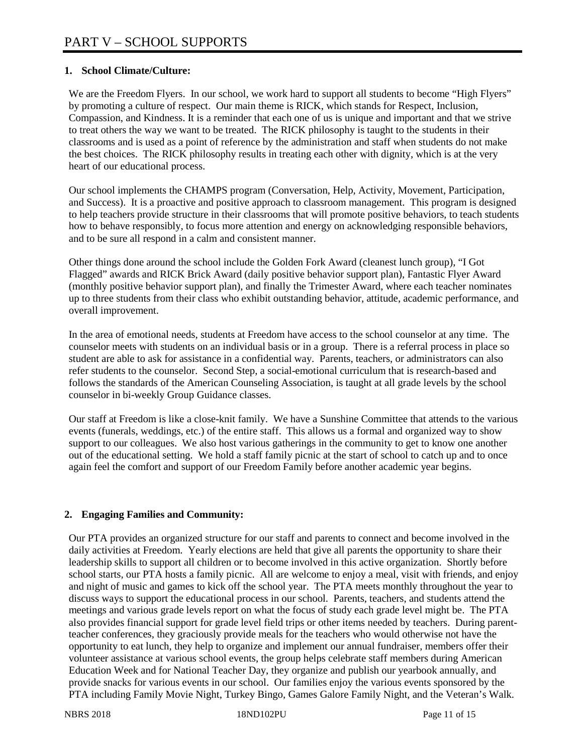# **1. School Climate/Culture:**

We are the Freedom Flyers. In our school, we work hard to support all students to become "High Flyers" by promoting a culture of respect. Our main theme is RICK, which stands for Respect, Inclusion, Compassion, and Kindness. It is a reminder that each one of us is unique and important and that we strive to treat others the way we want to be treated. The RICK philosophy is taught to the students in their classrooms and is used as a point of reference by the administration and staff when students do not make the best choices. The RICK philosophy results in treating each other with dignity, which is at the very heart of our educational process.

Our school implements the CHAMPS program (Conversation, Help, Activity, Movement, Participation, and Success). It is a proactive and positive approach to classroom management. This program is designed to help teachers provide structure in their classrooms that will promote positive behaviors, to teach students how to behave responsibly, to focus more attention and energy on acknowledging responsible behaviors, and to be sure all respond in a calm and consistent manner.

Other things done around the school include the Golden Fork Award (cleanest lunch group), "I Got Flagged" awards and RICK Brick Award (daily positive behavior support plan), Fantastic Flyer Award (monthly positive behavior support plan), and finally the Trimester Award, where each teacher nominates up to three students from their class who exhibit outstanding behavior, attitude, academic performance, and overall improvement.

In the area of emotional needs, students at Freedom have access to the school counselor at any time. The counselor meets with students on an individual basis or in a group. There is a referral process in place so student are able to ask for assistance in a confidential way. Parents, teachers, or administrators can also refer students to the counselor. Second Step, a social-emotional curriculum that is research-based and follows the standards of the American Counseling Association, is taught at all grade levels by the school counselor in bi-weekly Group Guidance classes.

Our staff at Freedom is like a close-knit family. We have a Sunshine Committee that attends to the various events (funerals, weddings, etc.) of the entire staff. This allows us a formal and organized way to show support to our colleagues. We also host various gatherings in the community to get to know one another out of the educational setting. We hold a staff family picnic at the start of school to catch up and to once again feel the comfort and support of our Freedom Family before another academic year begins.

# **2. Engaging Families and Community:**

Our PTA provides an organized structure for our staff and parents to connect and become involved in the daily activities at Freedom. Yearly elections are held that give all parents the opportunity to share their leadership skills to support all children or to become involved in this active organization. Shortly before school starts, our PTA hosts a family picnic. All are welcome to enjoy a meal, visit with friends, and enjoy and night of music and games to kick off the school year. The PTA meets monthly throughout the year to discuss ways to support the educational process in our school. Parents, teachers, and students attend the meetings and various grade levels report on what the focus of study each grade level might be. The PTA also provides financial support for grade level field trips or other items needed by teachers. During parentteacher conferences, they graciously provide meals for the teachers who would otherwise not have the opportunity to eat lunch, they help to organize and implement our annual fundraiser, members offer their volunteer assistance at various school events, the group helps celebrate staff members during American Education Week and for National Teacher Day, they organize and publish our yearbook annually, and provide snacks for various events in our school. Our families enjoy the various events sponsored by the PTA including Family Movie Night, Turkey Bingo, Games Galore Family Night, and the Veteran's Walk.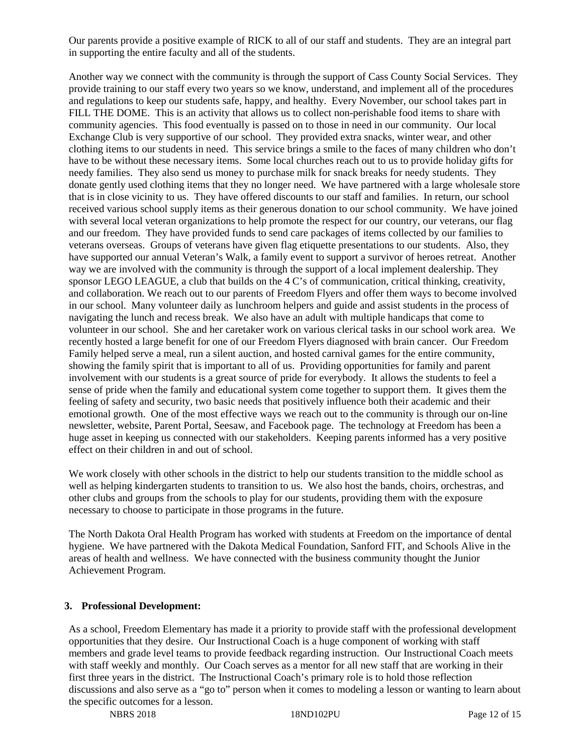Our parents provide a positive example of RICK to all of our staff and students. They are an integral part in supporting the entire faculty and all of the students.

Another way we connect with the community is through the support of Cass County Social Services. They provide training to our staff every two years so we know, understand, and implement all of the procedures and regulations to keep our students safe, happy, and healthy. Every November, our school takes part in FILL THE DOME. This is an activity that allows us to collect non-perishable food items to share with community agencies. This food eventually is passed on to those in need in our community. Our local Exchange Club is very supportive of our school. They provided extra snacks, winter wear, and other clothing items to our students in need. This service brings a smile to the faces of many children who don't have to be without these necessary items. Some local churches reach out to us to provide holiday gifts for needy families. They also send us money to purchase milk for snack breaks for needy students. They donate gently used clothing items that they no longer need. We have partnered with a large wholesale store that is in close vicinity to us. They have offered discounts to our staff and families. In return, our school received various school supply items as their generous donation to our school community. We have joined with several local veteran organizations to help promote the respect for our country, our veterans, our flag and our freedom. They have provided funds to send care packages of items collected by our families to veterans overseas. Groups of veterans have given flag etiquette presentations to our students. Also, they have supported our annual Veteran's Walk, a family event to support a survivor of heroes retreat. Another way we are involved with the community is through the support of a local implement dealership. They sponsor LEGO LEAGUE, a club that builds on the 4 C's of communication, critical thinking, creativity, and collaboration. We reach out to our parents of Freedom Flyers and offer them ways to become involved in our school. Many volunteer daily as lunchroom helpers and guide and assist students in the process of navigating the lunch and recess break. We also have an adult with multiple handicaps that come to volunteer in our school. She and her caretaker work on various clerical tasks in our school work area. We recently hosted a large benefit for one of our Freedom Flyers diagnosed with brain cancer. Our Freedom Family helped serve a meal, run a silent auction, and hosted carnival games for the entire community, showing the family spirit that is important to all of us. Providing opportunities for family and parent involvement with our students is a great source of pride for everybody. It allows the students to feel a sense of pride when the family and educational system come together to support them. It gives them the feeling of safety and security, two basic needs that positively influence both their academic and their emotional growth. One of the most effective ways we reach out to the community is through our on-line newsletter, website, Parent Portal, Seesaw, and Facebook page. The technology at Freedom has been a huge asset in keeping us connected with our stakeholders. Keeping parents informed has a very positive effect on their children in and out of school.

We work closely with other schools in the district to help our students transition to the middle school as well as helping kindergarten students to transition to us. We also host the bands, choirs, orchestras, and other clubs and groups from the schools to play for our students, providing them with the exposure necessary to choose to participate in those programs in the future.

The North Dakota Oral Health Program has worked with students at Freedom on the importance of dental hygiene. We have partnered with the Dakota Medical Foundation, Sanford FIT, and Schools Alive in the areas of health and wellness. We have connected with the business community thought the Junior Achievement Program.

# **3. Professional Development:**

As a school, Freedom Elementary has made it a priority to provide staff with the professional development opportunities that they desire. Our Instructional Coach is a huge component of working with staff members and grade level teams to provide feedback regarding instruction. Our Instructional Coach meets with staff weekly and monthly. Our Coach serves as a mentor for all new staff that are working in their first three years in the district. The Instructional Coach's primary role is to hold those reflection discussions and also serve as a "go to" person when it comes to modeling a lesson or wanting to learn about the specific outcomes for a lesson.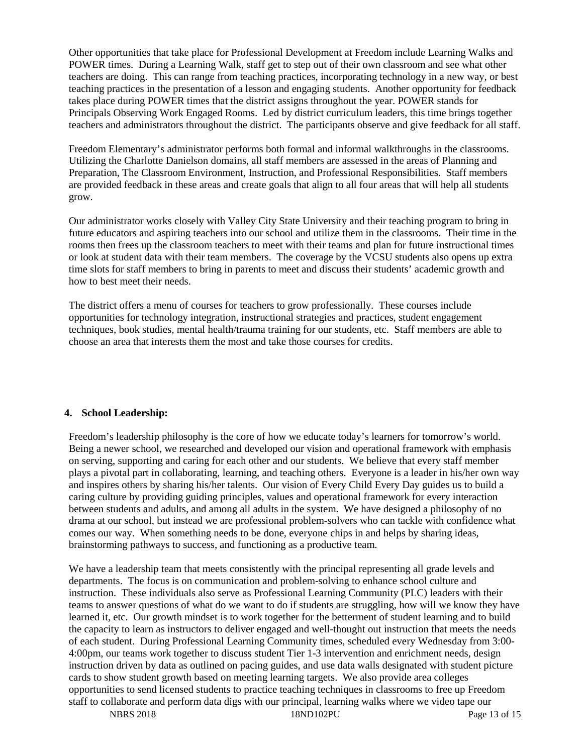Other opportunities that take place for Professional Development at Freedom include Learning Walks and POWER times. During a Learning Walk, staff get to step out of their own classroom and see what other teachers are doing. This can range from teaching practices, incorporating technology in a new way, or best teaching practices in the presentation of a lesson and engaging students. Another opportunity for feedback takes place during POWER times that the district assigns throughout the year. POWER stands for Principals Observing Work Engaged Rooms. Led by district curriculum leaders, this time brings together teachers and administrators throughout the district. The participants observe and give feedback for all staff.

Freedom Elementary's administrator performs both formal and informal walkthroughs in the classrooms. Utilizing the Charlotte Danielson domains, all staff members are assessed in the areas of Planning and Preparation, The Classroom Environment, Instruction, and Professional Responsibilities. Staff members are provided feedback in these areas and create goals that align to all four areas that will help all students grow.

Our administrator works closely with Valley City State University and their teaching program to bring in future educators and aspiring teachers into our school and utilize them in the classrooms. Their time in the rooms then frees up the classroom teachers to meet with their teams and plan for future instructional times or look at student data with their team members. The coverage by the VCSU students also opens up extra time slots for staff members to bring in parents to meet and discuss their students' academic growth and how to best meet their needs.

The district offers a menu of courses for teachers to grow professionally. These courses include opportunities for technology integration, instructional strategies and practices, student engagement techniques, book studies, mental health/trauma training for our students, etc. Staff members are able to choose an area that interests them the most and take those courses for credits.

# **4. School Leadership:**

Freedom's leadership philosophy is the core of how we educate today's learners for tomorrow's world. Being a newer school, we researched and developed our vision and operational framework with emphasis on serving, supporting and caring for each other and our students. We believe that every staff member plays a pivotal part in collaborating, learning, and teaching others. Everyone is a leader in his/her own way and inspires others by sharing his/her talents. Our vision of Every Child Every Day guides us to build a caring culture by providing guiding principles, values and operational framework for every interaction between students and adults, and among all adults in the system. We have designed a philosophy of no drama at our school, but instead we are professional problem-solvers who can tackle with confidence what comes our way. When something needs to be done, everyone chips in and helps by sharing ideas, brainstorming pathways to success, and functioning as a productive team.

We have a leadership team that meets consistently with the principal representing all grade levels and departments. The focus is on communication and problem-solving to enhance school culture and instruction. These individuals also serve as Professional Learning Community (PLC) leaders with their teams to answer questions of what do we want to do if students are struggling, how will we know they have learned it, etc. Our growth mindset is to work together for the betterment of student learning and to build the capacity to learn as instructors to deliver engaged and well-thought out instruction that meets the needs of each student. During Professional Learning Community times, scheduled every Wednesday from 3:00- 4:00pm, our teams work together to discuss student Tier 1-3 intervention and enrichment needs, design instruction driven by data as outlined on pacing guides, and use data walls designated with student picture cards to show student growth based on meeting learning targets. We also provide area colleges opportunities to send licensed students to practice teaching techniques in classrooms to free up Freedom staff to collaborate and perform data digs with our principal, learning walks where we video tape our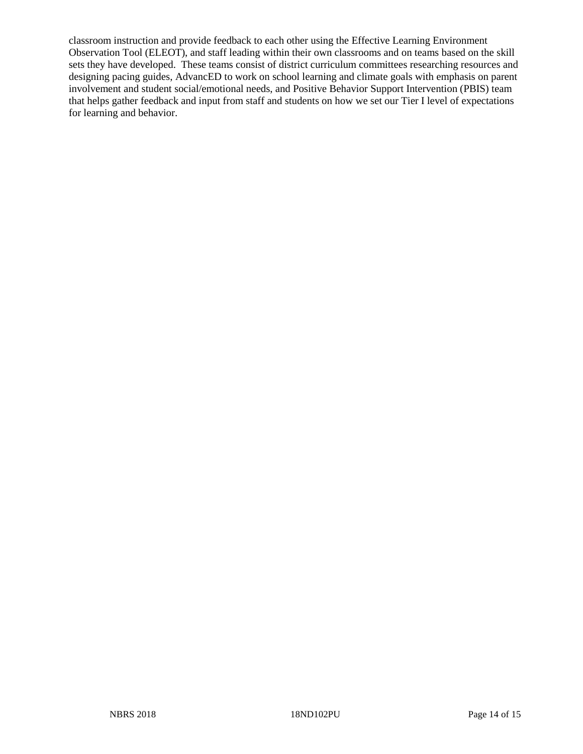classroom instruction and provide feedback to each other using the Effective Learning Environment Observation Tool (ELEOT), and staff leading within their own classrooms and on teams based on the skill sets they have developed. These teams consist of district curriculum committees researching resources and designing pacing guides, AdvancED to work on school learning and climate goals with emphasis on parent involvement and student social/emotional needs, and Positive Behavior Support Intervention (PBIS) team that helps gather feedback and input from staff and students on how we set our Tier I level of expectations for learning and behavior.